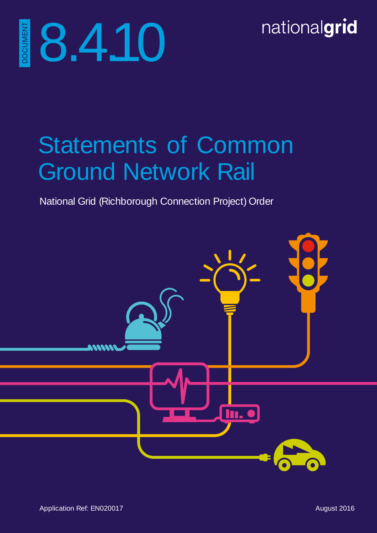

# nationalgrid

# Statements of Common Ground Network Rail

National Grid (Richborough Connection Project) Order

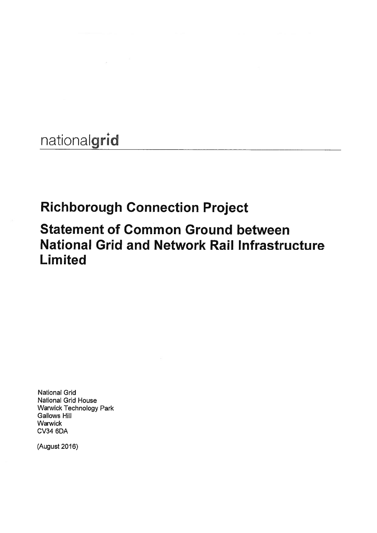# nationalgrid

# Richborough Connection Project

# Statement of Common Ground between National Grid and Network Rail Infrastructure Limited

National Grid National Grid House Warwick Technology Park Gallows Hill **Warwick** CV34 6DA

(August 2016)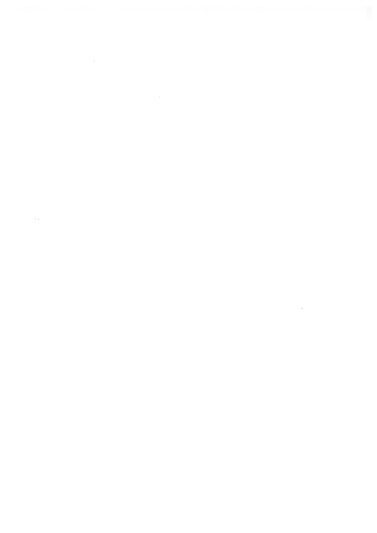$\label{eq:3.1} \mathfrak{H} = \mathfrak{H} \otimes_{\mathbb{Z}} \mathfrak{H}$  $\label{eq:1.1} \mathcal{E}(\mathcal{E}) = \mathcal{E}(\mathcal{E}) \quad \text{and} \quad \mathcal{E}(\mathcal{E}) = \mathcal{E}(\mathcal{E}) \quad \text{and} \quad \mathcal{E}(\mathcal{E}) = \mathcal{E}(\mathcal{E}) \quad \text{and} \quad \mathcal{E}(\mathcal{E}) = \mathcal{E}(\mathcal{E}) \quad \text{and} \quad \mathcal{E}(\mathcal{E}) = \mathcal{E}(\mathcal{E}) \quad \text{and} \quad \mathcal{E}(\mathcal{E}) = \mathcal{E}(\mathcal{E}) \quad \text{and} \quad \mathcal{E}(\$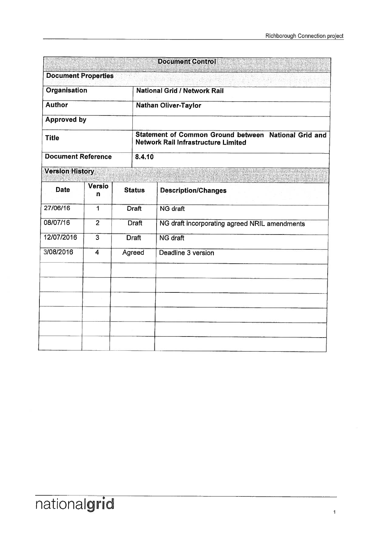|                             |                    |               |                                                                                                    | <b>Document Control</b>                       |  |  |  |
|-----------------------------|--------------------|---------------|----------------------------------------------------------------------------------------------------|-----------------------------------------------|--|--|--|
| <b>Document Properties</b>  |                    |               |                                                                                                    |                                               |  |  |  |
| Organisation                |                    |               | <b>National Grid / Network Rail</b>                                                                |                                               |  |  |  |
| <b>Author</b>               |                    |               | <b>Nathan Oliver-Taylor</b>                                                                        |                                               |  |  |  |
| <b>Approved by</b>          |                    |               |                                                                                                    |                                               |  |  |  |
| <b>Title</b>                |                    |               | Statement of Common Ground between National Grid and<br><b>Network Rail Infrastructure Limited</b> |                                               |  |  |  |
| <b>Document Reference</b>   |                    |               | 8.4.10                                                                                             |                                               |  |  |  |
| <b>Version History</b>      |                    |               |                                                                                                    |                                               |  |  |  |
| <b>Date</b>                 | <b>Versio</b><br>n | <b>Status</b> |                                                                                                    | <b>Description/Changes</b>                    |  |  |  |
| 27/06/16                    | 1                  | <b>Draft</b>  |                                                                                                    | <b>NG draft</b>                               |  |  |  |
| 08/07/16                    | $\overline{2}$     | <b>Draft</b>  |                                                                                                    | NG draft incorporating agreed NRIL amendments |  |  |  |
| 12/07/2016                  | $\overline{3}$     | <b>Draft</b>  |                                                                                                    | <b>NG draft</b>                               |  |  |  |
| 3/08/2016<br>$\overline{4}$ |                    |               | Agreed                                                                                             | Deadline 3 version                            |  |  |  |
|                             |                    |               |                                                                                                    |                                               |  |  |  |
|                             |                    |               |                                                                                                    |                                               |  |  |  |
|                             |                    |               |                                                                                                    |                                               |  |  |  |
|                             |                    |               |                                                                                                    |                                               |  |  |  |
|                             |                    |               |                                                                                                    |                                               |  |  |  |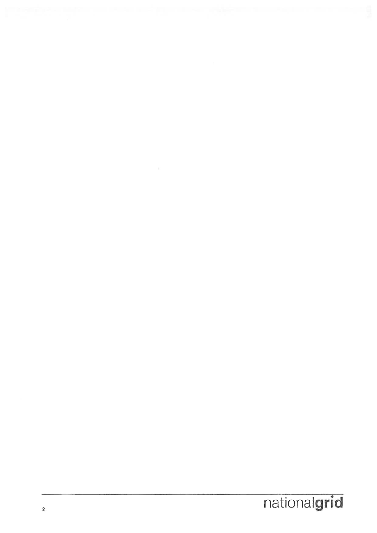# nationalgrid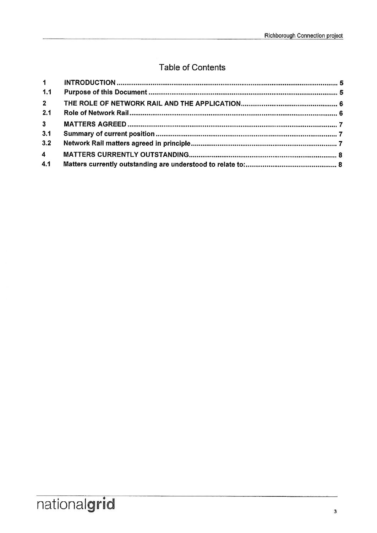# Table of Contents

| 1.1            |  |
|----------------|--|
| 2 <sup>7</sup> |  |
| 2.1            |  |
| 3 <sup>1</sup> |  |
| 3.1            |  |
| 3.2            |  |
| 4 <sup>1</sup> |  |
| 4.1            |  |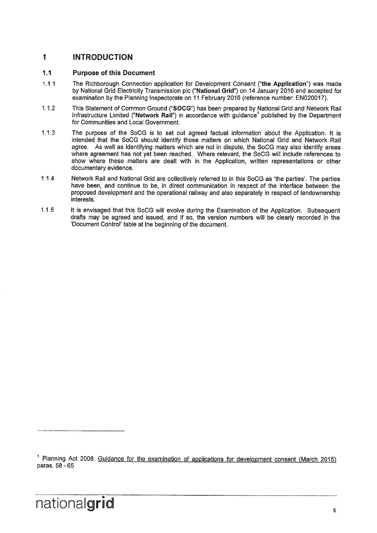## 1 INTRODUCTION

### 1.1 Purpose of this Document

- 1.1.1 The Richborough Connection application for Development Consent ("the Application') was made by National Grid Electricity Transmission plc ("National Grid") on 14 January 2016 and accepted for examination by the Planning lnspectorate on 11 February 2016 (reference number: EN020017).
- 1.1.2 This Statement of Common Ground ("SOCG") has been prepared by National Grid and Network Rail Infrastructure Limited ("Network Rail") in accordance with quidance<sup>1</sup> published by the Department for Communities and Local Government.
- 1.1.3 The purpose of the S0CG is to set out agreed factual information about the Application. It is intended that the SoCG should identify those matters on which National Grid and Network Rail agree. As well as identifying matters which are not in dispute, the SoCG may also identify areas where agreement has not yet been reached. Where relevant, the SoCG will include references to show where these matters are dealt with in the Application, written representations or other documentary evidence.
- 1.1.4 Network Rail and National Grid are collectively referred to in this SoCG as the parties'. The parties have been, and continue to be, in direct communication in respec<sup>t</sup> of the interface between the proposed development and the operational railway and also separately in respec<sup>t</sup> of landownership interests.
- 1.1.5 It is envisaged that this SoCG will evolve during the Examination of the Application. Subsequent drafts may be agreed and issued, and if so, the version numbers will be clearly recorded in the 'Document Control' table at the beginning of the document.

nationalgrid 5

 $\ddot{\phantom{a}}$ 

<sup>&</sup>lt;sup>1</sup> Planning Act 2008: Guidance for the examination of applications for development consent (March 2015) paras. 58 - 65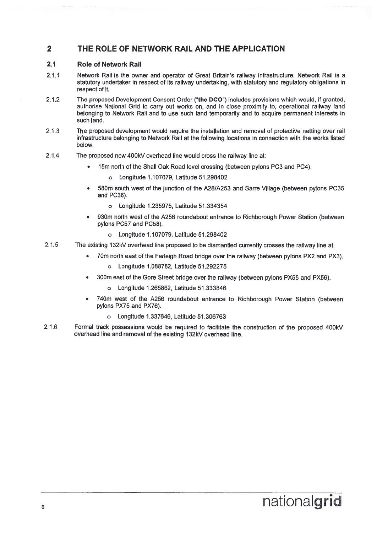#### 2THE ROLE OF NETWORK RAIL AND THE APPLICATION

#### 2.1Role of Network Rail

- 2,1.1 Network Rail is the owner and operator of Great Britain's railway infrastructure. Network Rail is <sup>a</sup> statutory undertaker in respec<sup>t</sup> of its railway undertaking, with statutory and regulatory obligations in respec<sup>t</sup> of it.
- 2.1.22 The proposed Development Consent Order ("the DCO") includes provisions which would, if granted authorise National Grid to carry out works on, and in close proximity to, operational railway land belonging to Network Rail and to use such land temporarily and to acquire permanen<sup>t</sup> interests in such land.
- 2.1.3 The proposed development would require the installation and removal of protective netting over rail infrastructure belonging to Network Rail at the following locations in connection with the works listed below.
- 2.1.4 The proposed new 400kV overhead line would cross the railway line at:
	- 15m north of the Shall Oak Road level crossing (between pylons PC3 and PC4).
		- o Longitude 1.107079, Latitude 51.298402
	- • 580m south west of the junction of the A28/A253 and Sarre Village (between pylons PC35 and PC36).
		- o Longitude 1.235975, Latitude 51 .334354
	- $\bullet$   $\;$  930m north west of the A256 roundabout entrance to Richborough Power Station (between pylons PC57 and PC58).
		- o Longitude 1.107079, Latitude 51.298402
- 21.5 $5$  The existing 132kV overhead line proposed to be dismantled currently crosses the railway line at:
	- • 70m north east of the Farleigh Road bridge over the railway (between pylons PX2 and PX3).
		- o Longitude 1.088782, Latitude 51.292275
	- • 300m east of the Gore Street bridge over the railway (between pylons PX55 and PX56).
		- o Longitude 1.265862, Latitude 51.333846
	- • 740m west of the A256 roundabout entrance to Richborough Power Station (between pylons PX75 and PX76).
		- o Longitude 1.337646, Latitude 51.306763
- 2.1.6 Formal track possessions would be required to facilitate the construction of the proposed 400kV overhead line and removal of the existing 132kV overhead line.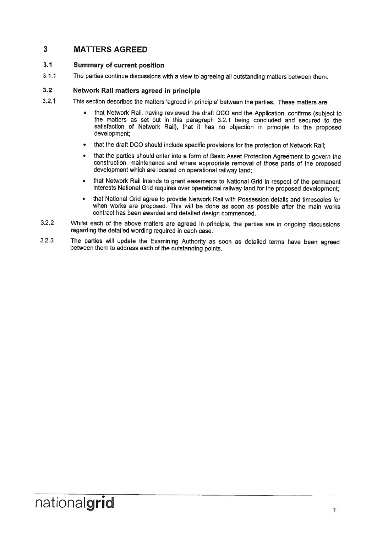## 3 MATTERS AGREED

### 3.1 Summary of current position

3.1.1 The parties continue discussions with <sup>a</sup> view to agreeing all outstanding matters between them.

### 3.2 Network Rail matters agreed in principle

- 3.2.1 This section describes the matters 'agreed in principle' between the parties. These matters are:
	- that Network Rail, having reviewed the draft DCC and the Application, confirms (subject to the matters as set out in this paragraph 3.2.1 being concluded and secured to the satisfaction of Network Rail), that it has no objection in principle to the proposed development;
	- •that the draft DCC should include specific provisions for the protection of Network Rail;
	- • that the parties should enter into <sup>a</sup> form of Basic Asset Protection Agreement to govern the construction, maintenance and where appropriate removal of those parts of the proposed development which are located on operational railway land;
	- • that Network Rail intends to grant easements to National Grid in respect of the permanent interests National Grid requires over operational railway land for the proposed development;
	- • that National Grid agree to provide Network Rail with Possession details and timescales for when works are proposed. This will be done as soon as possible after the main works contract has been awarded and detailed design commenced.
- 3.2.2 Whilst each of the above matters are agreed in principle, the parties are in ongoing discussions regarding the detailed wording required in each case.
- 3,2.3 The parties will update the Examining Authority as soon as detailed terms have been agreed between them to address each of the outstanding points.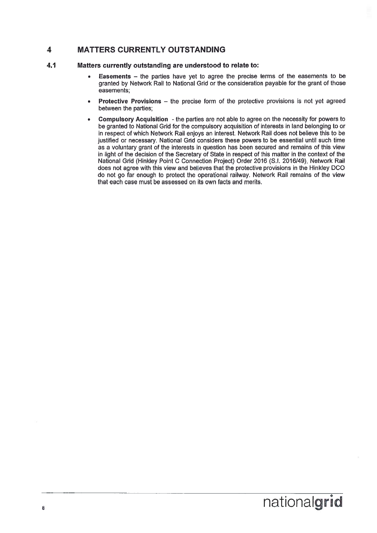#### 4MATTERS CURRENTLY OUTSTANDING

#### 4.1Matters currently outstanding are understood to relate to:

- • Easements — the parties have ye<sup>t</sup> to agree the precise terms of the easements to be granted by Network Rail to National Grid or the consideration payable for the gran<sup>t</sup> of those easements;
- •• Protective Provisions – the precise form of the protective provisions is not yet agreed between the parties;
- • Compulsory Acquisition - the parties are not able to agree on the necessity for powers to be granted to National Grid for the compulsory acquisition of interests in land belonging to or in respec<sup>t</sup> of which Network Rail enjoys an interest. Network Rail does not believe this to be justified or necessary. National Grid considers these powers to be essential until such time as a voluntary gran<sup>t</sup> of the interests in question has been secured and remains of this view in light of the decision of the Secretary of State in respec<sup>t</sup> of this matter in the context of the National Grid (Hinkley Point C Connection Project) Order 2016 (SI. 2016/49). Network Rail does not agree with this view and believes that the protective provisions in the Hinkley DCO do not go far enough to protect the operational railway. Network Rail remains of the view that each case must be assessed on its own facts and merits.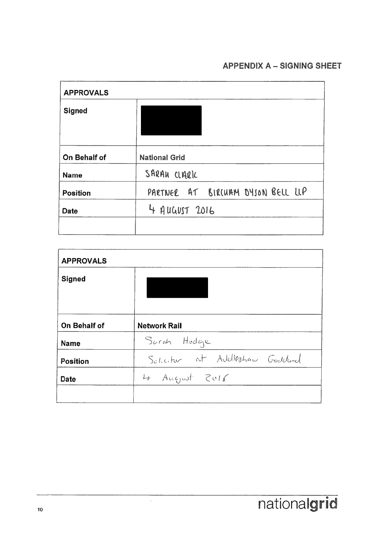## **APPENDIX A - SIGNING SHEET**

| <b>APPROVALS</b> |                                   |  |  |  |
|------------------|-----------------------------------|--|--|--|
| <b>Signed</b>    |                                   |  |  |  |
| On Behalf of     | <b>National Grid</b>              |  |  |  |
| <b>Name</b>      | SARAU CLARIC                      |  |  |  |
| <b>Position</b>  | PARTNER AT BIRCUAM DYSON BELL LLP |  |  |  |
| <b>Date</b>      | $4$ AUGUST 2016                   |  |  |  |

| <b>APPROVALS</b> |                                |  |  |  |
|------------------|--------------------------------|--|--|--|
| <b>Signed</b>    |                                |  |  |  |
| On Behalf of     | <b>Network Rail</b>            |  |  |  |
| <b>Name</b>      | Sarah Hodge                    |  |  |  |
| <b>Position</b>  | Solicitor at Addleshow Goddard |  |  |  |
| <b>Date</b>      | 4 August 2016                  |  |  |  |
|                  |                                |  |  |  |

 $\langle \cdot, \cdot \rangle$